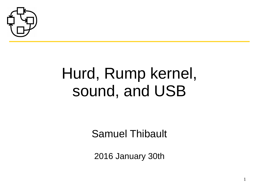

#### Hurd, Rump kernel, sound, and USB

Samuel Thibault

2016 January 30th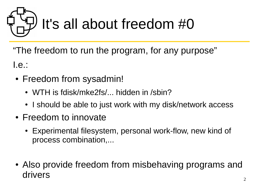# It's all about freedom #0

"The freedom to run the program, for any purpose" I.e.:

- Freedom from sysadmin!
	- WTH is fdisk/mke2fs/... hidden in /sbin?
	- I should be able to just work with my disk/network access
- Freedom to innovate
	- Experimental filesystem, personal work-flow, new kind of process combination,...
- Also provide freedom from misbehaving programs and drivers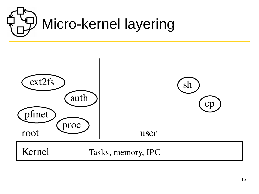

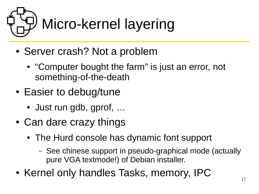

- Server crash? Not a problem
	- "Computer bought the farm" is just an error, not something-of-the-death
- Easier to debug/tune
	- Just run gdb, gprof, ...
- Can dare crazy things
	- The Hurd console has dynamic font support
		- See chinese support in pseudo-graphical mode (actually pure VGA textmode!) of Debian installer.
- Kernel only handles Tasks, memory, IPC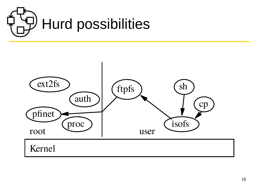

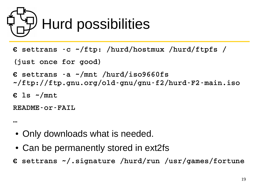## **Hurd possibilities**

€ settrans -c ~/ftp: /hurd/hostmux /hurd/ftpfs /

(just once for good)

- $\epsilon$  settrans -a ~/mnt /hurd/iso9660fs ~/ftp://ftp.gnu.org/old-gnu/gnu-f2/hurd-F2-main.iso
- $\epsilon$  1s  $\sim$ /mnt

README-Or-FAIL

 $- - -$ 

- Only downloads what is needed.
- Can be permanently stored in ext2fs
- $\epsilon$  settrans  $\gamma$ .signature /hurd/run /usr/games/fortune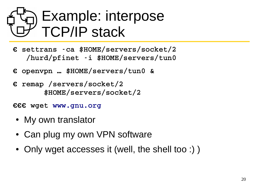### Example: interpose **TCP/IP stack**

- $\epsilon$  settrans ca \$HOME/servers/socket/2 /hurd/pfinet -i \$HOME/servers/tun0
- € openvpn ... \$HOME/servers/tun0 &
- $\epsilon$  remap /servers/socket/2 \$HOME/servers/socket/2
- €€€ wget www.gnu.org
	- My own translator
	- Can plug my own VPN software
	- Only wget accesses it (well, the shell too :) )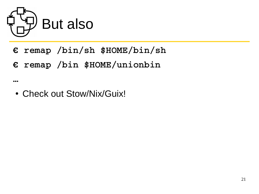

 $\bullet\bullet\bullet$ 

- € remap /bin/sh \$HOME/bin/sh
- € remap /bin \$HOME/unionbin
	- Check out Stow/Nix/Guix!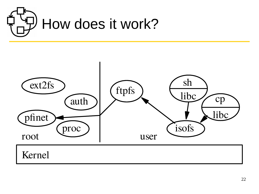

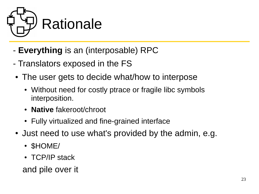

- **Everything** is an (interposable) RPC
- Translators exposed in the FS
- The user gets to decide what/how to interpose
	- Without need for costly ptrace or fragile libc symbols interposition.
	- **Native** fakeroot/chroot
	- Fully virtualized and fine-grained interface
- Just need to use what's provided by the admin, e.g.
	- \$HOME/
	- TCP/IP stack

and pile over it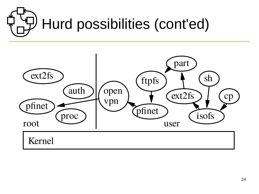

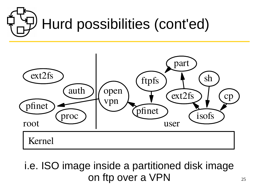



i.e. ISO image inside a partitioned disk image on ftp over a VPN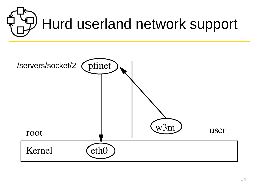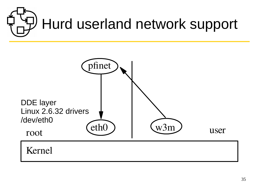

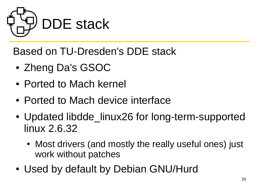

Based on TU-Dresden's DDE stack

- Zheng Da's GSOC
- Ported to Mach kernel
- Ported to Mach device interface
- Updated libdde linux26 for long-term-supported linux 2.6.32
	- Most drivers (and mostly the really useful ones) just work without patches
- Used by default by Debian GNU/Hurd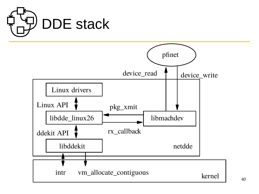

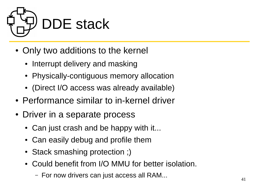

- Only two additions to the kernel
	- Interrupt delivery and masking
	- Physically-contiguous memory allocation
	- (Direct I/O access was already available)
- Performance similar to in-kernel driver
- Driver in a separate process
	- Can just crash and be happy with it...
	- Can easily debug and profile them
	- Stack smashing protection ;)
	- Could benefit from I/O MMU for better isolation.
		- For now drivers can just access all RAM...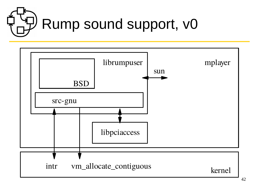

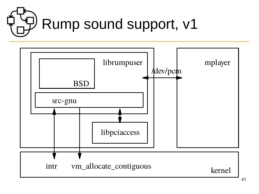

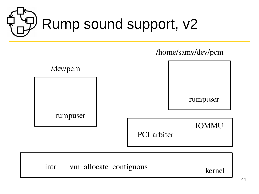### Rump sound support, v2

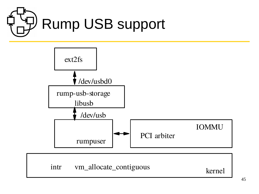



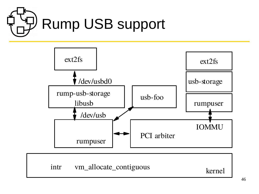



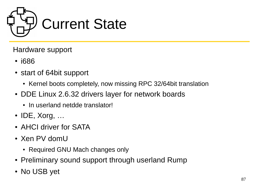

Hardware support

- i686
- start of 64bit support
	- Kernel boots completely, now missing RPC 32/64bit translation
- DDE Linux 2.6.32 drivers layer for network boards
	- In userland netdde translator!
- $\cdot$  IDE, Xorg, ...
- AHCI driver for SATA
- Xen PV domU
	- Required GNU Mach changes only
- Preliminary sound support through userland Rump
- No USB yet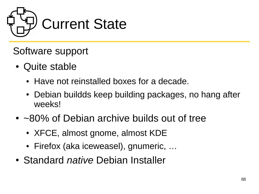

Software support

- Quite stable
	- Have not reinstalled boxes for a decade.
	- Debian buildds keep building packages, no hang after weeks!
- $\cdot$  ~80% of Debian archive builds out of tree
	- XFCE, almost gnome, almost KDE
	- Firefox (aka iceweasel), gnumeric, ...
- Standard *native* Debian Installer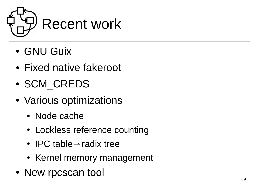

- GNU Guix
- Fixed native fakeroot
- SCM CREDS
- Various optimizations
	- Node cache
	- Lockless reference counting
	- IPC table  $\rightarrow$  radix tree
	- Kernel memory management
- New rpcscan tool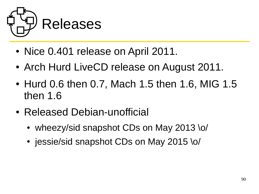

- Nice 0.401 release on April 2011.
- Arch Hurd LiveCD release on August 2011.
- Hurd 0.6 then 0.7, Mach 1.5 then 1.6, MIG 1.5 then 1.6
- Released Debian-unofficial
	- wheezy/sid snapshot CDs on May 2013 \o/
	- jessie/sid snapshot CDs on May 2015 \o/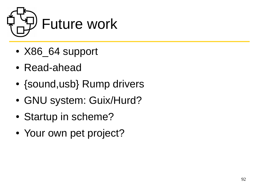

- X86 64 support
- Read-ahead
- {sound,usb} Rump drivers
- GNU system: Guix/Hurd?
- Startup in scheme?
- Your own pet project?